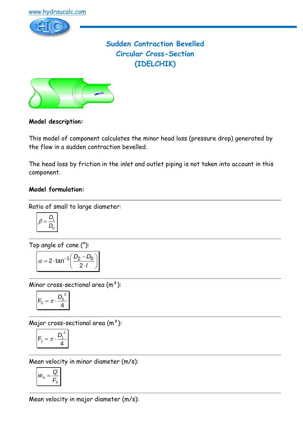

# **Sudden Contraction Bevelled Circular Cross-Section (IDELCHIK)**



### **Model description:**

This model of component calculates the minor head loss (pressure drop) generated by the flow in a sudden contraction bevelled.

The head loss by friction in the inlet and outlet piping is not taken into account in this component.

#### **Model formulation:**

Ratio of small to large diameter:

$$
\beta = \frac{D_1}{D_0}
$$

Top angle of cone (°):

$$
\alpha = 2 \cdot \tan^{-1} \left( \frac{D_2 - D_0}{2 \cdot I} \right)
$$

Minor cross-sectional area (m²):

$$
F_0 = \pi \cdot \frac{D_0^2}{4}
$$

Major cross-sectional area (m²):

$$
F_1 = \pi \cdot \frac{D_1^2}{4}
$$

Mean velocity in minor diameter (m/s):

$$
W_0 = \frac{Q}{F_0}
$$

Mean velocity in major diameter (m/s):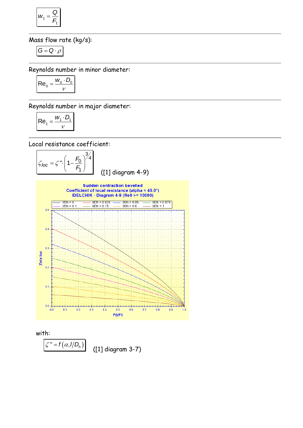$$
W_1 = \frac{Q}{F_1}
$$

Mass flow rate (kg/s):

$$
G=Q\cdot \rho
$$

Reynolds number in minor diameter:

$$
\mathsf{Re}_0 = \frac{w_0 \cdot D_0}{v}
$$

Reynolds number in major diameter:

$$
\left| \text{Re}_1 = \frac{W_1 \cdot D_1}{V} \right|
$$

Local resistance coefficient:

$$
\mathcal{L}_{loc} = \mathcal{L} \cdot \left(1 - \frac{F_0}{F_1}\right)^{3/4}
$$
 (11) diagram 4-9)



with:

$$
\mathcal{L}'' = f(\alpha, I/D_h)
$$
 (11 d)

([1] diagram 3-7)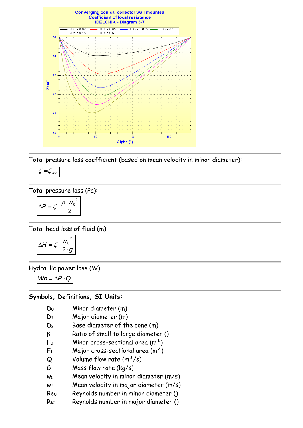

Total pressure loss coefficient (based on mean velocity in minor diameter):

$$
\zeta = \zeta_{loc}
$$

Total pressure loss (Pa):

$$
\Delta P = \zeta \cdot \frac{\rho \cdot w_0^2}{2}
$$

Total head loss of fluid (m):

$$
\Delta H = \zeta \cdot \frac{w_0^2}{2 \cdot g}
$$

Hydraulic power loss (W):

 $Wh = \Delta P \cdot Q$ 

#### **Symbols, Definitions, SI Units:**

- D<sup>0</sup> Minor diameter (m)
- D<sup>1</sup> Major diameter (m)
- D<sup>2</sup> Base diameter of the cone (m)
- $\beta$  Ratio of small to large diameter ()
- $F_0$  Minor cross-sectional area  $(m^2)$
- $F_1$  Major cross-sectional area  $(m^2)$
- $Q$  Volume flow rate  $(m^3/s)$
- G Mass flow rate (kg/s)
- $w_0$  Mean velocity in minor diameter  $(m/s)$
- $w_1$  Mean velocity in major diameter  $(m/s)$
- Re<sup>0</sup> Reynolds number in minor diameter ()
- Re<sup>1</sup> Reynolds number in major diameter ()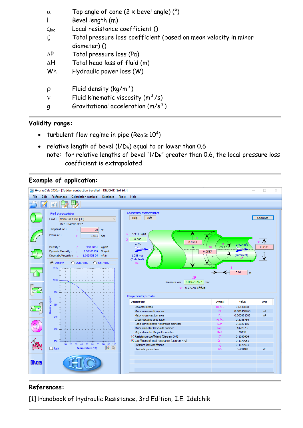| $\alpha$    | Top angle of cone $(2 \times$ bevel angle) $(°)$                                |
|-------------|---------------------------------------------------------------------------------|
|             | Bevel length (m)                                                                |
| $\zeta$ loc | Local resistance coefficient ()                                                 |
| ζ           | Total pressure loss coefficient (based on mean velocity in minor<br>diameter)() |
| $\Delta P$  | Total pressure loss (Pa)                                                        |
| $\Delta H$  | Total head loss of fluid (m)                                                    |
| Wh          | Hydraulic power loss (W)                                                        |
| $\rho$      | Fluid density $(kq/m^3)$                                                        |
| $\mathbf v$ | Fluid kinematic viscosity $(m^2/s)$                                             |
| q           | Gravitational acceleration $(m/s^2)$                                            |
|             |                                                                                 |

### **Validity range:**

- turbulent flow regime in pipe (Re<sub>0</sub>  $\geq 10^4$ )
- relative length of bevel  $(I/D_h)$  equal to or lower than 0.6 note: for relative lengths of bevel "l/Dh" greater than 0.6, the local pressure loss coefficient is extrapolated

### **Example of application:**



## **References:**

[1] Handbook of Hydraulic Resistance, 3rd Edition, I.E. Idelchik